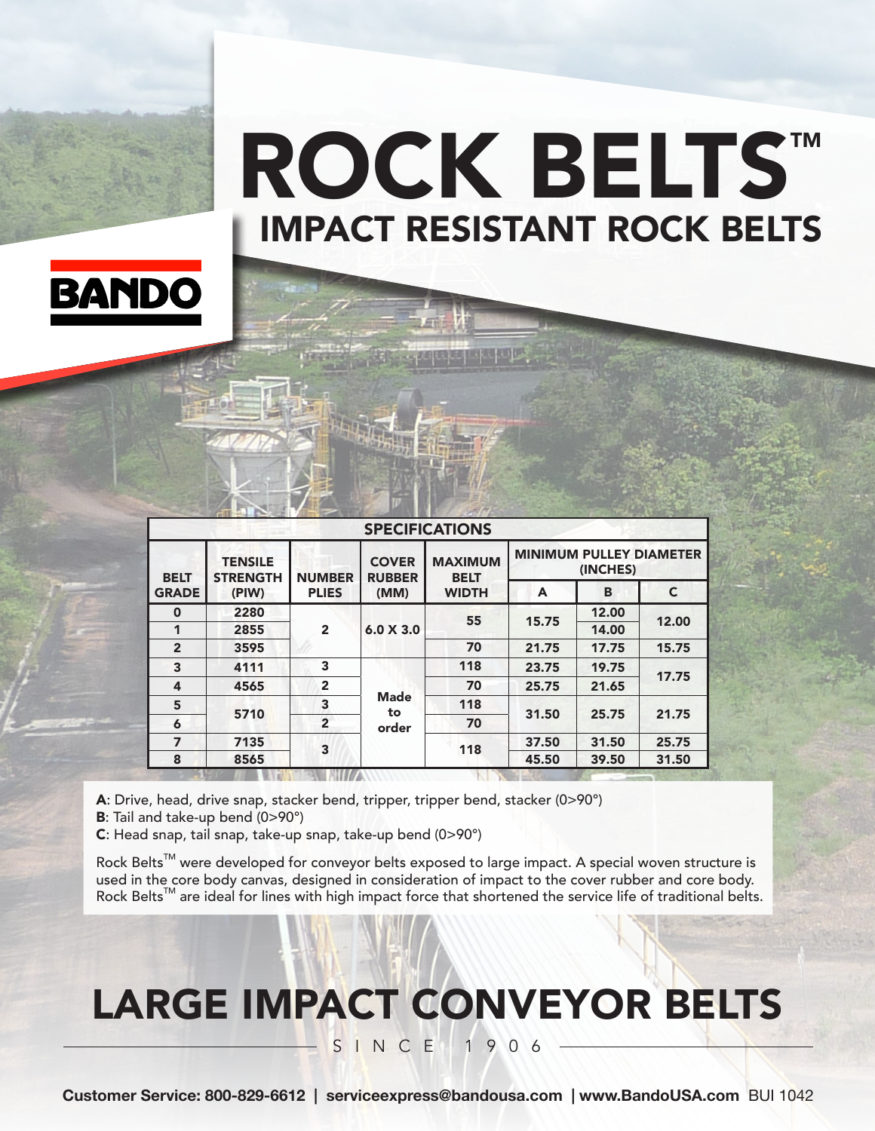# IMPACT RESISTANT ROCK BELTS ROCK BELTS™



| <b>SPECIFICATIONS</b>       |                                            |                               |                                       |                                               |                                            |       |              |  |
|-----------------------------|--------------------------------------------|-------------------------------|---------------------------------------|-----------------------------------------------|--------------------------------------------|-------|--------------|--|
| <b>BELT</b><br><b>GRADE</b> | <b>TENSILE</b><br><b>STRENGTH</b><br>(PIW) | <b>NUMBER</b><br><b>PLIES</b> | <b>COVER</b><br><b>RUBBER</b><br>(MM) | <b>MAXIMUM</b><br><b>BELT</b><br><b>WIDTH</b> | <b>MINIMUM PULLEY DIAMETER</b><br>(INCHES) |       |              |  |
|                             |                                            |                               |                                       |                                               | A                                          | B     | $\mathsf{C}$ |  |
| $\mathbf 0$                 | 2280                                       | $\overline{2}$                | 6.0 X 3.0                             | 55                                            | 15.75                                      | 12.00 | 12.00        |  |
| 1                           | 2855                                       |                               |                                       |                                               |                                            | 14.00 |              |  |
| $\overline{2}$              | 3595                                       |                               |                                       | 70                                            | 21.75                                      | 17.75 | 15.75        |  |
| 3                           | 4111                                       | 3                             | <b>Made</b><br>to<br>order            | 118                                           | 23.75                                      | 19.75 | 17.75        |  |
| 4                           | 4565                                       | $\overline{2}$                |                                       | 70                                            | 25.75                                      | 21.65 |              |  |
| 5                           |                                            | 3                             |                                       | 118                                           | 31.50                                      | 25.75 | 21.75        |  |
| 6                           | 5710                                       | $\overline{2}$                |                                       | 70                                            |                                            |       |              |  |
| 7                           | 7135                                       | 3                             |                                       | 118                                           | 37.50                                      | 31.50 | 25.75        |  |
| 8                           | 8565                                       |                               |                                       |                                               | 45.50                                      | 39.50 | 31.50        |  |

A: Drive, head, drive snap, stacker bend, tripper, tripper bend, stacker (0>90°)

B: Tail and take-up bend (0>90°)

C: Head snap, tail snap, take-up snap, take-up bend (0>90°)

Rock Belts<sup>™</sup> were developed for conveyor belts exposed to large impact. A special woven structure is used in the core body canvas, designed in consideration of impact to the cover rubber and core body. Rock Belts™ are ideal for lines with high impact force that shortened the service life of traditional belts.

## LARGE IMPACT CONVEYOR BELTS

SINCE 1906